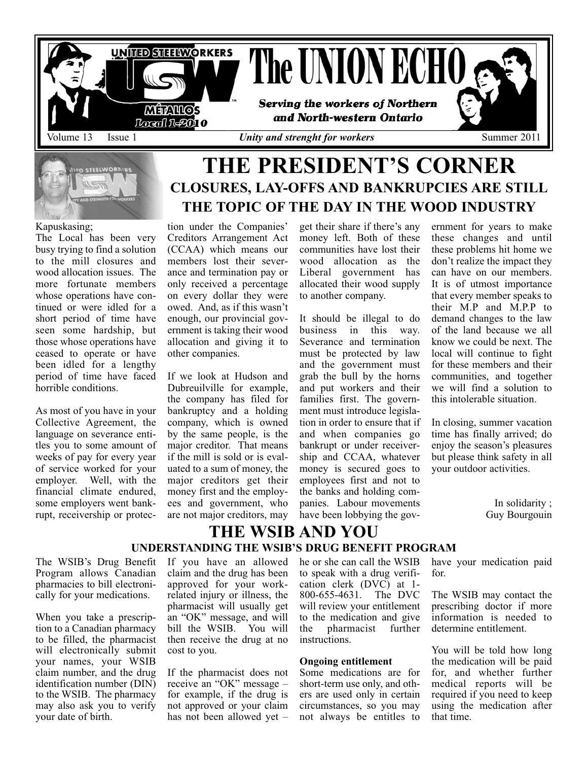

#### Kapuskasing;

The Local has been very busy trying to find a solution to the mill closures and wood allocation issues. The more fortunate members whose operations have continued or were idled for a short period of time have seen some hardship, but those whose operations have ceased to operate or have been idled for a lengthy period of time have faced horrible conditions.

As most of you have in your Collective Agreement, the language on severance entitles you to some amount of weeks of pay for every year of service worked for your employer. Well, with the financial climate endured, some employers went bankrupt, receivership or protection under the Companies' Creditors Arrangement Act (CCAA) which means our members lost their severance and termination pay or only received a percentage on every dollar they were owed. And, as if this wasn't enough, our provincial government is taking their wood allocation and giving it to other companies.

If we look at Hudson and Dubreuilville for example, the company has filed for bankruptcy and a holding company, which is owned by the same people, is the major creditor. That means if the mill is sold or is evaluated to a sum of money, the major creditors get their money first and the employees and government, who are not major creditors, may

get their share if there's any money left. Both of these communities have lost their wood allocation as the Liberal government has allocated their wood supply to another company.

**THE TOPIC OF THE DAY IN THE WOOD INDUSTRY** 

It should be illegal to do business in this way. Severance and termination must be protected by law and the government must grab the bull by the horns and put workers and their families first. The government must introduce legislation in order to ensure that if and when companies go bankrupt or under receivership and CCAA, whatever money is secured goes to employees first and not to the banks and holding companies. Labour movements have been lobbying the government for years to make these changes and until these problems hit home we don't realize the impact they can have on our members. It is of utmost importance that every member speaks to their M.P and M.P.P to demand changes to the law of the land because we all know we could be next. The local will continue to fight for these members and their communities, and together we will find a solution to this intolerable situation.

In closing, summer vacation time has finally arrived; do enjoy the season's pleasures but please think safety in all your outdoor activities.

> In solidarity ; Guy Bourgouin

### **THE WSIB AND YOU UNDERSTANDING THE WSIB'S DRUG BENEFIT PROGRAM**

The WSIB's Drug Benefit Program allows Canadian pharmacies to bill electronically for your medications.

When you take a prescription to a Canadian pharmacy to be filled, the pharmacist will electronically submit your names, your WSIB claim number, and the drug identification number (DIN) to the WSIB. The pharmacy may also ask you to verify your date of birth.

If you have an allowed claim and the drug has been approved for your workrelated injury or illness, the pharmacist will usually get an "OK" message, and will bill the WSIB. You will then receive the drug at no cost to you.

If the pharmacist does not receive an "OK" message – for example, if the drug is not approved or your claim has not been allowed yet – he or she can call the WSIB to speak with a drug verification clerk (DVC) at 1- 800-655-4631. The DVC will review your entitlement to the medication and give the pharmacist further instructions.

#### **Ongoing entitlement**

Some medications are for short-term use only, and others are used only in certain circumstances, so you may not always be entitles to

have your medication paid for.

The WSIB may contact the prescribing doctor if more information is needed to determine entitlement.

You will be told how long the medication will be paid for, and whether further medical reports will be required if you need to keep using the medication after that time.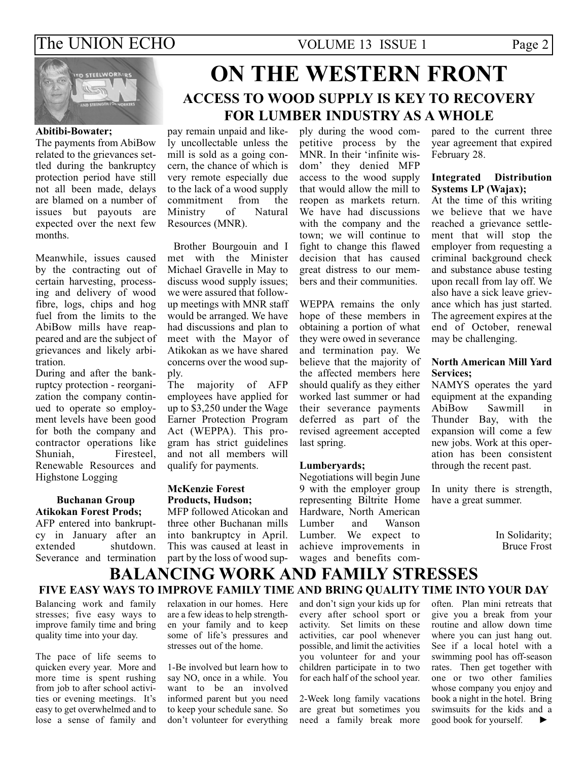### The UNION ECHO VOLUME 13 ISSUE 1 Page 2



#### **Abitibi-Bowater;**

The payments from AbiBow related to the grievances settled during the bankruptcy protection period have still not all been made, delays are blamed on a number of issues but payouts are expected over the next few months.

Meanwhile, issues caused by the contracting out of certain harvesting, processing and delivery of wood fibre, logs, chips and hog fuel from the limits to the AbiBow mills have reappeared and are the subject of grievances and likely arbitration.

During and after the bankruptcy protection - reorganization the company continued to operate so employment levels have been good for both the company and contractor operations like Shuniah, Firesteel, Renewable Resources and Highstone Logging

### **Buchanan Group Atikokan Forest Prods;**

AFP entered into bankruptcy in January after an extended shutdown. Severance and termination

# **ON THE WESTERN FRONT ACCESS TO WOOD SUPPLY IS KEY TO RECOvERY FOR LUMBER INDUSTRY AS A WHOLE**

pay remain unpaid and likely uncollectable unless the mill is sold as a going concern, the chance of which is very remote especially due to the lack of a wood supply<br>commitment from the commitment from the<br>Ministry of Natural Ministry Resources (MNR).

Brother Bourgouin and I met with the Minister Michael Gravelle in May to discuss wood supply issues; we were assured that followup meetings with MNR staff would be arranged. We have had discussions and plan to meet with the Mayor of Atikokan as we have shared concerns over the wood supply.

The majority of AFP employees have applied for up to \$3,250 under the Wage Earner Protection Program Act (WEPPA). This program has strict guidelines and not all members will qualify for payments.

#### **McKenzie Forest Products, Hudson;**

MFP followed Aticokan and three other Buchanan mills into bankruptcy in April. This was caused at least in part by the loss of wood supply during the wood competitive process by the MNR. In their 'infinite wisdom' they denied MFP access to the wood supply that would allow the mill to reopen as markets return. We have had discussions with the company and the town; we will continue to fight to change this flawed decision that has caused great distress to our members and their communities.

WEPPA remains the only hope of these members in obtaining a portion of what they were owed in severance and termination pay. We believe that the majority of the affected members here should qualify as they either worked last summer or had their severance payments deferred as part of the revised agreement accepted last spring.

#### **Lumberyards;**

Negotiations will begin June 9 with the employer group representing Biltrite Home Hardware, North American Lumber and Wanson Lumber. We expect to achieve improvements in wages and benefits compared to the current three year agreement that expired February 28.

#### **Integrated Distribution Systems LP (Wajax);**

At the time of this writing we believe that we have reached a grievance settlement that will stop the employer from requesting a criminal background check and substance abuse testing upon recall from lay off. We also have a sick leave grievance which has just started. The agreement expires at the end of October, renewal may be challenging.

### **North American Mill Yard Services;**

NAMYS operates the yard equipment at the expanding<br>AbiBow Sawmill in Sawmill in Thunder Bay, with the expansion will come a few new jobs. Work at this operation has been consistent through the recent past.

In unity there is strength, have a great summer.

> In Solidarity; Bruce Frost

### **BALANCING WORK AND FAMILY STRESSES FIvE EASY WAYS TO IMPROvE FAMILY TIME AND BRING qUALITY TIME INTO YOUR DAY**

Balancing work and family stresses; five easy ways to improve family time and bring quality time into your day.

The pace of life seems to quicken every year. More and more time is spent rushing from job to after school activities or evening meetings. It's easy to get overwhelmed and to lose a sense of family and

relaxation in our homes. Here are a few ideas to help strengthen your family and to keep some of life's pressures and stresses out of the home.

1-Be involved but learn how to say NO, once in a while. You want to be an involved informed parent but you need to keep your schedule sane. So don't volunteer for everything and don't sign your kids up for every after school sport or activity. Set limits on these activities, car pool whenever possible, and limit the activities you volunteer for and your children participate in to two for each half of the school year.

2-Week long family vacations are great but sometimes you need a family break more often. Plan mini retreats that give you a break from your routine and allow down time where you can just hang out. See if a local hotel with a swimming pool has off-season rates. Then get together with one or two other families whose company you enjoy and book a night in the hotel. Bring swimsuits for the kids and a good book for yourself. **►**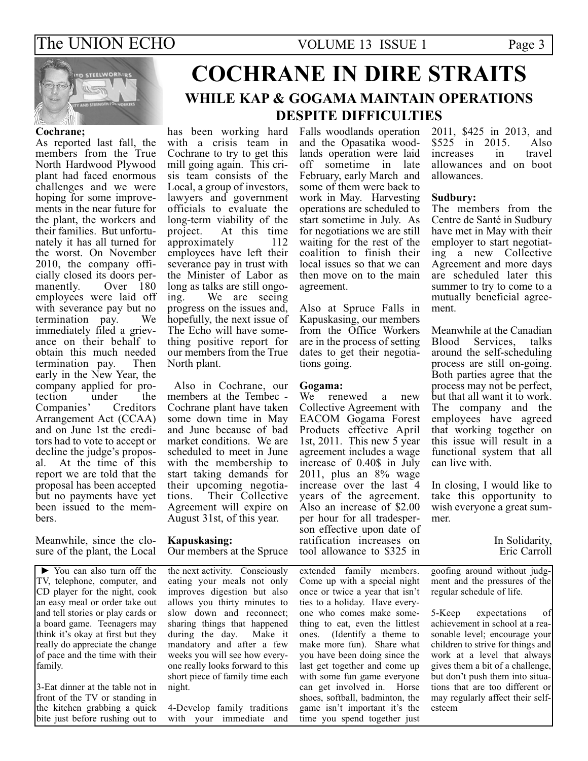### The UNION ECHO VOLUME 13 ISSUE 1 Page 3



#### **Cochrane;**

As reported last fall, the members from the True North Hardwood Plywood plant had faced enormous challenges and we were hoping for some improvements in the near future for the plant, the workers and their families. But unfortunately it has all turned for the worst. On November 2010, the company officially closed its doors per-Over 180 employees were laid off with severance pay but no termination pay. We immediately filed a grievance on their behalf to obtain this much needed termination pay. Then early in the New Year, the company applied for pro-<br>tection under the tection Companies' Creditors Arrangement Act (CCAA) and on June 1st the creditors had to vote to accept or decline the judge's proposal. At the time of this report we are told that the proposal has been accepted but no payments have yet been issued to the members.

Meanwhile, since the closure of the plant, the Local

**►** You can also turn off the TV, telephone, computer, and CD player for the night, cook an easy meal or order take out and tell stories or play cards or a board game. Teenagers may think it's okay at first but they really do appreciate the change of pace and the time with their family.

3-Eat dinner at the table not in front of the TV or standing in the kitchen grabbing a quick bite just before rushing out to

# **COCHRANE IN DIRE STRAITS WHILE KAP & GOGAMA MAINTAIN OPERATIONS DESPITE DIFFICULTIES**

has been working hard with a crisis team in Cochrane to try to get this mill going again. This crisis team consists of the Local, a group of investors, lawyers and government officials to evaluate the long-term viability of the project. At this time approximately 112 employees have left their severance pay in trust with the Minister of Labor as long as talks are still ongo-<br>ing. We are seeing We are seeing. progress on the issues and, hopefully, the next issue of The Echo will have something positive report for our members from the True North plant.

Also in Cochrane, our members at the Tembec - Cochrane plant have taken some down time in May and June because of bad market conditions. We are scheduled to meet in June with the membership to start taking demands for their upcoming negotiations. Their Collective Agreement will expire on August 31st, of this year.

#### **Kapuskasing:** Our members at the Spruce

the next activity. Consciously eating your meals not only improves digestion but also allows you thirty minutes to slow down and reconnect; sharing things that happened during the day. Make it mandatory and after a few weeks you will see how everyone really looks forward to this short piece of family time each night.

4-Develop family traditions with your immediate and Falls woodlands operation and the Opasatika woodlands operation were laid off sometime in late February, early March and some of them were back to work in May. Harvesting operations are scheduled to start sometime in July. As for negotiations we are still waiting for the rest of the coalition to finish their local issues so that we can then move on to the main agreement.

Also at Spruce Falls in Kapuskasing, our members from the Office Workers are in the process of setting dates to get their negotiations going.

# **Gogama:**

renewed a new Collective Agreement with EACOM Gogama Forest Products effective April 1st, 2011. This new 5 year agreement includes a wage increase of 0.40\$ in July 2011, plus an 8% wage increase over the last 4 years of the agreement. Also an increase of \$2.00 per hour for all tradesperson effective upon date of ratification increases on tool allowance to \$325 in

extended family members. Come up with a special night once or twice a year that isn't ties to a holiday. Have everyone who comes make something to eat, even the littlest ones. (Identify a theme to make more fun). Share what you have been doing since the last get together and come up with some fun game everyone can get involved in. Horse shoes, softball, badminton, the game isn't important it's the time you spend together just

2011, \$425 in 2013, and \$525 in 2015. Also<br>increases in travel increases allowances and on boot allowances.

#### **Sudbury:**

The members from the Centre de Santé in Sudbury have met in May with their employer to start negotiating a new Collective Agreement and more days are scheduled later this summer to try to come to a mutually beneficial agreement.

Meanwhile at the Canadian Blood Services, talks around the self-scheduling process are still on-going. Both parties agree that the process may not be perfect, but that all want it to work. The company and the employees have agreed that working together on this issue will result in a functional system that all can live with.

In closing, I would like to take this opportunity to wish everyone a great summer.

> In Solidarity, Eric Carroll

goofing around without judgment and the pressures of the regular schedule of life.

5-Keep expectations of achievement in school at a reasonable level; encourage your children to strive for things and work at a level that always gives them a bit of a challenge, but don't push them into situations that are too different or may regularly affect their selfesteem